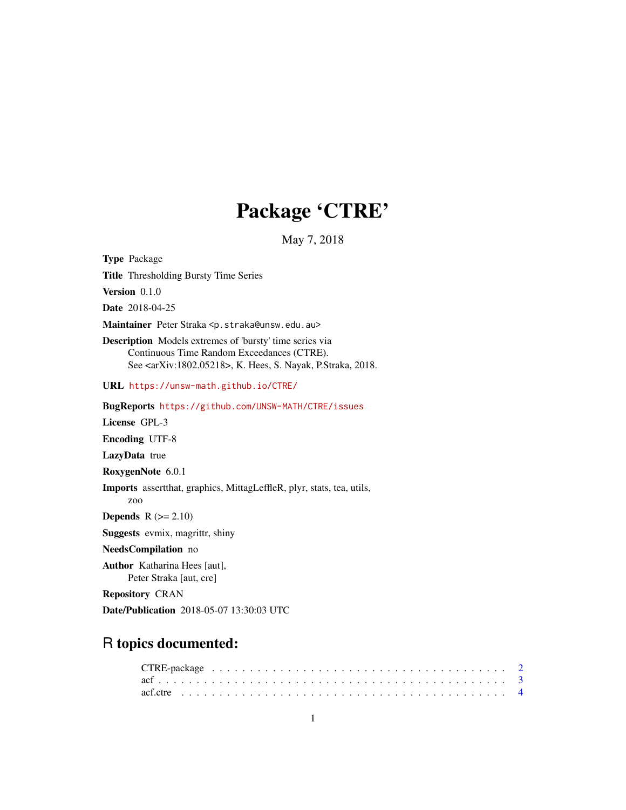# Package 'CTRE'

May 7, 2018

Type Package Title Thresholding Bursty Time Series Version 0.1.0 Date 2018-04-25 Maintainer Peter Straka <p.straka@unsw.edu.au> Description Models extremes of 'bursty' time series via Continuous Time Random Exceedances (CTRE). See <arXiv:1802.05218>, K. Hees, S. Nayak, P.Straka, 2018. URL <https://unsw-math.github.io/CTRE/> BugReports <https://github.com/UNSW-MATH/CTRE/issues> License GPL-3 Encoding UTF-8 LazyData true RoxygenNote 6.0.1 Imports assertthat, graphics, MittagLeffleR, plyr, stats, tea, utils, zoo **Depends**  $R$  ( $>= 2.10$ ) Suggests evmix, magrittr, shiny NeedsCompilation no Author Katharina Hees [aut], Peter Straka [aut, cre] Repository CRAN

# Date/Publication 2018-05-07 13:30:03 UTC

# R topics documented: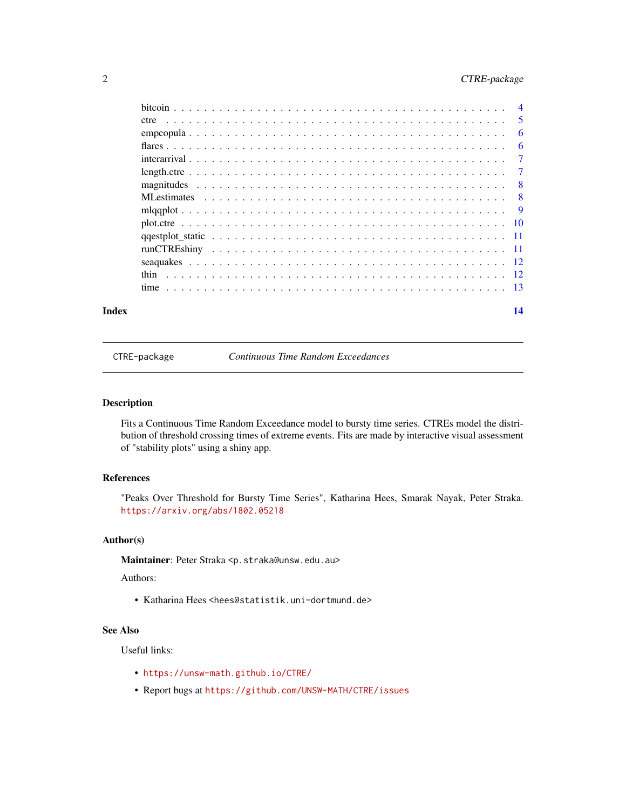# <span id="page-1-0"></span>2 CTRE-package

| Index | 14 |
|-------|----|

CTRE-package *Continuous Time Random Exceedances*

#### <span id="page-1-1"></span>Description

Fits a Continuous Time Random Exceedance model to bursty time series. CTREs model the distribution of threshold crossing times of extreme events. Fits are made by interactive visual assessment of "stability plots" using a shiny app.

# References

"Peaks Over Threshold for Bursty Time Series", Katharina Hees, Smarak Nayak, Peter Straka. <https://arxiv.org/abs/1802.05218>

# Author(s)

Maintainer: Peter Straka <p.straka@unsw.edu.au>

Authors:

• Katharina Hees <hees@statistik.uni-dortmund.de>

# See Also

Useful links:

- <https://unsw-math.github.io/CTRE/>
- Report bugs at <https://github.com/UNSW-MATH/CTRE/issues>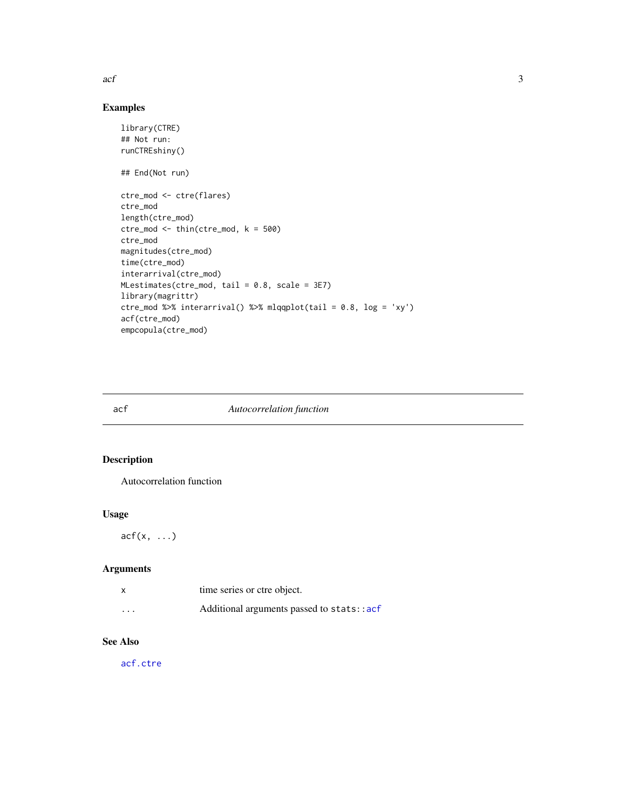<span id="page-2-0"></span> $\int$  3

# Examples

```
library(CTRE)
## Not run:
runCTREshiny()
## End(Not run)
ctre_mod <- ctre(flares)
ctre_mod
length(ctre_mod)
ctre\_mod \le - \text{thin}(ctre\_mod, k = 500)ctre_mod
magnitudes(ctre_mod)
time(ctre_mod)
interarrival(ctre_mod)
MLestimates(ctre_mod, tail = 0.8, scale = 3E7)
library(magrittr)
ctre_mod %>% interarrival() %>% mlqqplot(tail = 0.8, log = 'xy')
acf(ctre_mod)
empcopula(ctre_mod)
```
# <span id="page-2-1"></span>acf *Autocorrelation function*

# Description

Autocorrelation function

#### Usage

 $acf(x, \ldots)$ 

# Arguments

|          | time series or ctre object.               |
|----------|-------------------------------------------|
| $\cdots$ | Additional arguments passed to stats::acf |

# See Also

[acf.ctre](#page-3-1)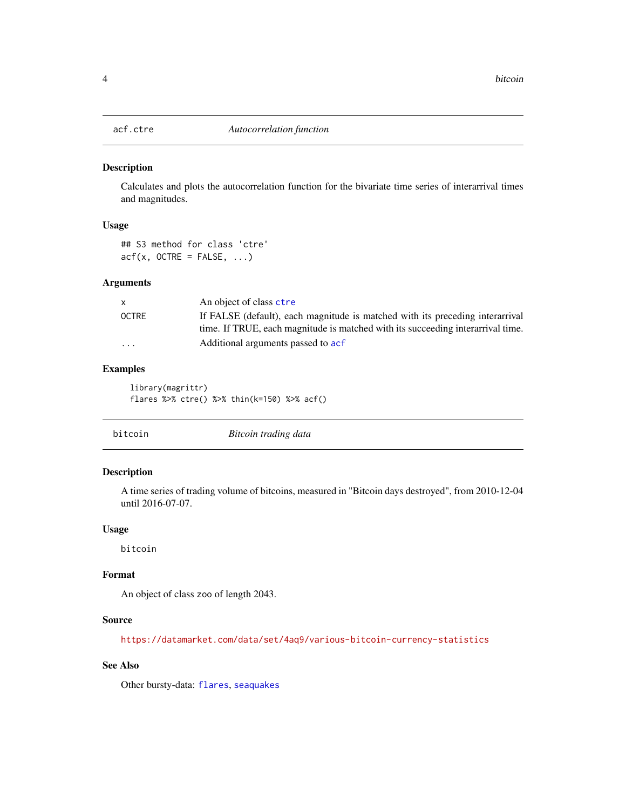<span id="page-3-1"></span><span id="page-3-0"></span>

Calculates and plots the autocorrelation function for the bivariate time series of interarrival times and magnitudes.

# Usage

## S3 method for class 'ctre'  $\text{acf}(x, \text{OCTRE} = \text{FALSE}, \ldots)$ 

#### Arguments

|                         | An object of class ctre                                                         |
|-------------------------|---------------------------------------------------------------------------------|
| OCTRE                   | If FALSE (default), each magnitude is matched with its preceding interarrival   |
|                         | time. If TRUE, each magnitude is matched with its succeeding interarrival time. |
| $\cdot$ $\cdot$ $\cdot$ | Additional arguments passed to acf                                              |

#### Examples

library(magrittr) flares %>% ctre() %>% thin(k=150) %>% acf()

<span id="page-3-2"></span>

|--|

# Description

A time series of trading volume of bitcoins, measured in "Bitcoin days destroyed", from 2010-12-04 until 2016-07-07.

# Usage

bitcoin

# Format

An object of class zoo of length 2043.

#### Source

<https://datamarket.com/data/set/4aq9/various-bitcoin-currency-statistics>

# See Also

Other bursty-data: [flares](#page-5-1), [seaquakes](#page-11-1)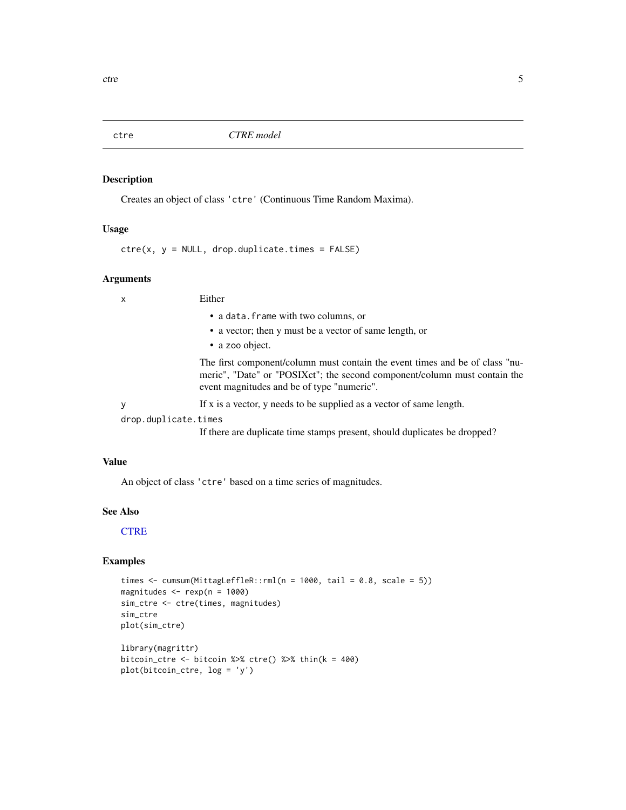<span id="page-4-1"></span><span id="page-4-0"></span>

Creates an object of class 'ctre' (Continuous Time Random Maxima).

#### Usage

 $ctre(x, y = NULL, drop.duplicate.times = FALSE)$ 

#### Arguments

x Either

- a data.frame with two columns, or
- a vector; then y must be a vector of same length, or
- a zoo object.

The first component/column must contain the event times and be of class "numeric", "Date" or "POSIXct"; the second component/column must contain the event magnitudes and be of type "numeric".

y If x is a vector, y needs to be supplied as a vector of same length.

drop.duplicate.times

If there are duplicate time stamps present, should duplicates be dropped?

# Value

An object of class 'ctre' based on a time series of magnitudes.

#### See Also

#### **[CTRE](#page-1-1)**

```
times \le cumsum(MittagLeffleR::rml(n = 1000, tail = 0.8, scale = 5))
magnitudes <- rexp(n = 1000)
sim_ctre <- ctre(times, magnitudes)
sim_ctre
plot(sim_ctre)
library(magrittr)
bitcoin_ctre <- bitcoin %>% ctre() %>% thin(k = 400)
plot(bitcoin_ctre, log = 'y')
```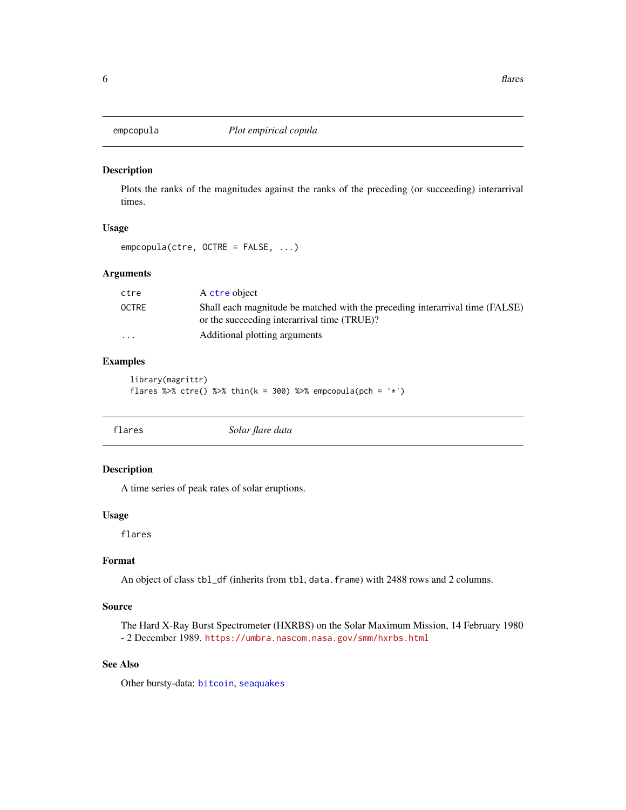<span id="page-5-0"></span>

Plots the ranks of the magnitudes against the ranks of the preceding (or succeeding) interarrival times.

# Usage

```
empcopula(ctre, OCTRE = FALSE, ...)
```
# Arguments

| ctre                    | A ctre object                                                                                                               |
|-------------------------|-----------------------------------------------------------------------------------------------------------------------------|
| <b>OCTRE</b>            | Shall each magnitude be matched with the preceding interarrival time (FALSE)<br>or the succeeding interarrival time (TRUE)? |
| $\cdot$ $\cdot$ $\cdot$ | Additional plotting arguments                                                                                               |

# Examples

```
library(magrittr)
flares %>% ctre() %>% thin(k = 300) %>% empcopula(pch = '*')
```
<span id="page-5-1"></span>

| flares | Solar flare data |  |
|--------|------------------|--|
|--------|------------------|--|

#### Description

A time series of peak rates of solar eruptions.

#### Usage

flares

# Format

An object of class tbl\_df (inherits from tbl, data.frame) with 2488 rows and 2 columns.

# Source

The Hard X-Ray Burst Spectrometer (HXRBS) on the Solar Maximum Mission, 14 February 1980 - 2 December 1989. <https://umbra.nascom.nasa.gov/smm/hxrbs.html>

# See Also

Other bursty-data: [bitcoin](#page-3-2), [seaquakes](#page-11-1)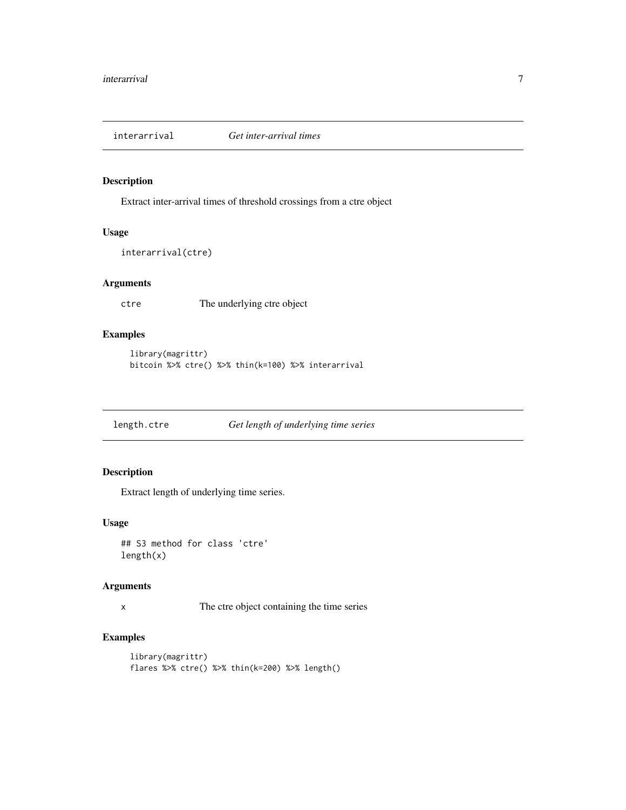<span id="page-6-0"></span>

Extract inter-arrival times of threshold crossings from a ctre object

# Usage

```
interarrival(ctre)
```
# Arguments

ctre The underlying ctre object

# Examples

```
library(magrittr)
bitcoin %>% ctre() %>% thin(k=100) %>% interarrival
```
length.ctre *Get length of underlying time series*

# Description

Extract length of underlying time series.

# Usage

## S3 method for class 'ctre' length(x)

#### Arguments

x The ctre object containing the time series

```
library(magrittr)
flares %>% ctre() %>% thin(k=200) %>% length()
```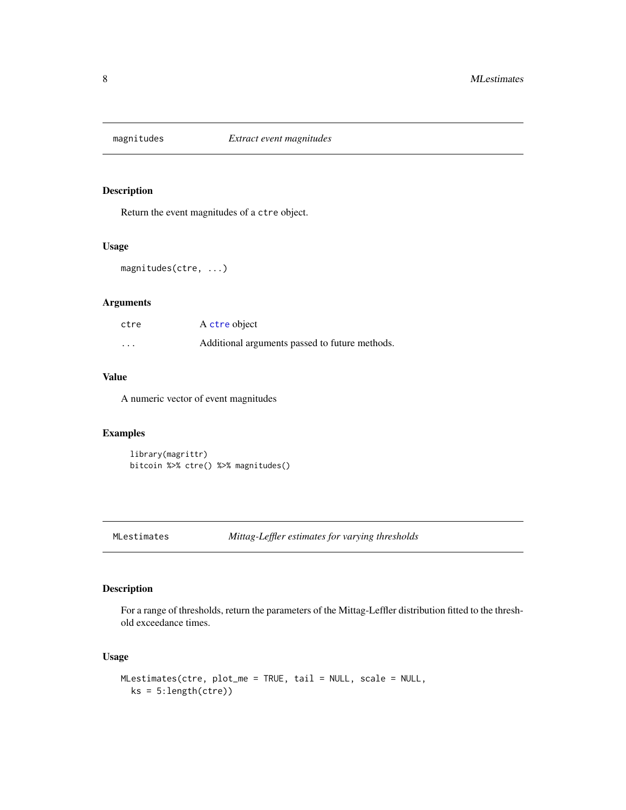<span id="page-7-0"></span>

Return the event magnitudes of a ctre object.

# Usage

magnitudes(ctre, ...)

# Arguments

| ctre     | A ctre object                                  |
|----------|------------------------------------------------|
| $\cdots$ | Additional arguments passed to future methods. |

# Value

A numeric vector of event magnitudes

# Examples

```
library(magrittr)
bitcoin %>% ctre() %>% magnitudes()
```
# Description

For a range of thresholds, return the parameters of the Mittag-Leffler distribution fitted to the threshold exceedance times.

# Usage

```
MLestimates(ctre, plot_me = TRUE, tail = NULL, scale = NULL,
 ks = 5:length(ctre))
```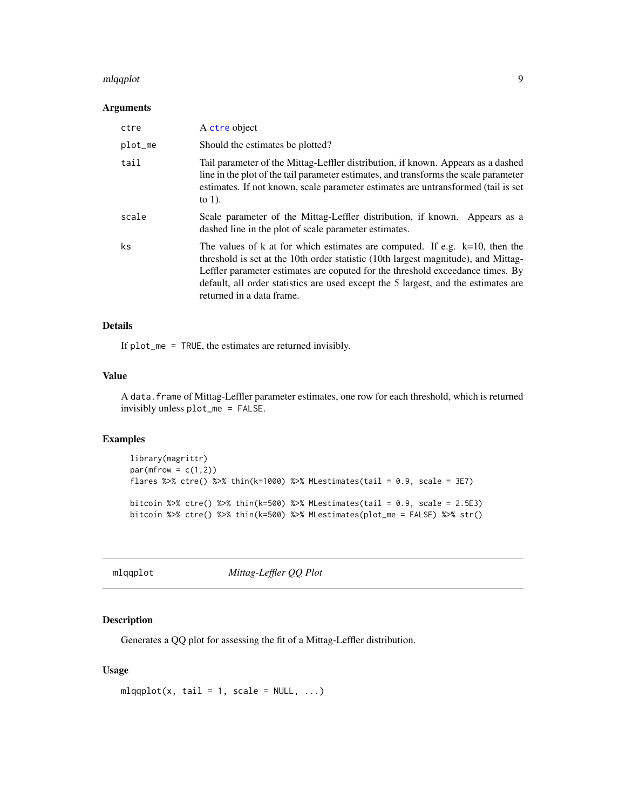#### <span id="page-8-0"></span>mlqqplot 9

#### Arguments

| ctre    | A ctre object                                                                                                                                                                                                                                                                                                                                                             |
|---------|---------------------------------------------------------------------------------------------------------------------------------------------------------------------------------------------------------------------------------------------------------------------------------------------------------------------------------------------------------------------------|
| plot_me | Should the estimates be plotted?                                                                                                                                                                                                                                                                                                                                          |
| tail    | Tail parameter of the Mittag-Leffler distribution, if known. Appears as a dashed<br>line in the plot of the tail parameter estimates, and transforms the scale parameter<br>estimates. If not known, scale parameter estimates are untransformed (tail is set<br>to $1$ ).                                                                                                |
| scale   | Scale parameter of the Mittag-Leffler distribution, if known. Appears as a<br>dashed line in the plot of scale parameter estimates.                                                                                                                                                                                                                                       |
| ks      | The values of k at for which estimates are computed. If e.g. $k=10$ , then the<br>threshold is set at the 10th order statistic (10th largest magnitude), and Mittag-<br>Leffler parameter estimates are coputed for the threshold exceedance times. By<br>default, all order statistics are used except the 5 largest, and the estimates are<br>returned in a data frame. |

# Details

If plot\_me = TRUE, the estimates are returned invisibly.

# Value

A data.frame of Mittag-Leffler parameter estimates, one row for each threshold, which is returned invisibly unless plot\_me = FALSE.

# Examples

```
library(magrittr)
par(mfrow = c(1,2))flares %>% ctre() %>% thin(k=1000) %>% MLestimates(tail = 0.9, scale = 3E7)
bitcoin %>% ctre() %>% thin(k=500) %>% MLestimates(tail = 0.9, scale = 2.5E3)
bitcoin %>% ctre() %>% thin(k=500) %>% MLestimates(plot_me = FALSE) %>% str()
```

```
mlqqplot Mittag-Leffler QQ Plot
```
### Description

Generates a QQ plot for assessing the fit of a Mittag-Leffler distribution.

# Usage

```
mlqqplot(x, tail = 1, scale = NULL, ...)
```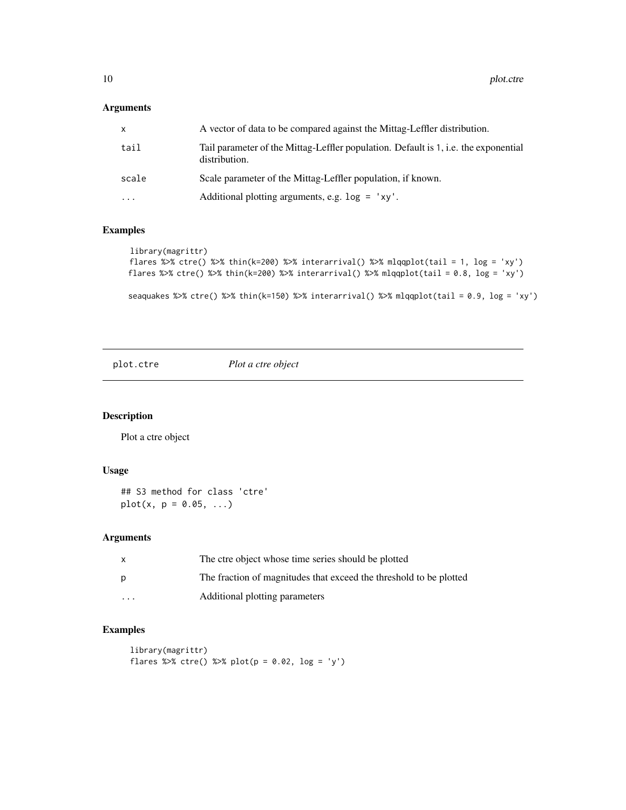# <span id="page-9-0"></span>Arguments

| x     | A vector of data to be compared against the Mittag-Leffler distribution.                             |
|-------|------------------------------------------------------------------------------------------------------|
| tail  | Tail parameter of the Mittag-Leffler population. Default is 1, i.e. the exponential<br>distribution. |
| scale | Scale parameter of the Mittag-Leffler population, if known.                                          |
| .     | Additional plotting arguments, e.g. $log = 'xy'.$                                                    |
|       |                                                                                                      |

# Examples

```
library(magrittr)
flares %>% ctre() %>% thin(k=200) %>% interarrival() %>% mlqqplot(tail = 1, log = 'xy')
flares %>% ctre() %>% thin(k=200) %>% interarrival() %>% mlqqplot(tail = 0.8, log = 'xy')
```

```
seaquakes %>% ctre() %>% thin(k=150) %>% interarrival() %>% mlqqplot(tail = 0.9, log = 'xy')
```
plot.ctre *Plot a ctre object*

# Description

Plot a ctre object

# Usage

```
## S3 method for class 'ctre'
plot(x, p = 0.05, ...)
```
# Arguments

| X | The ctre object whose time series should be plotted                |
|---|--------------------------------------------------------------------|
| p | The fraction of magnitudes that exceed the threshold to be plotted |
| . | Additional plotting parameters                                     |

```
library(magrittr)
flares %>% ctre() %>% plot(p = 0.02, log = 'y')
```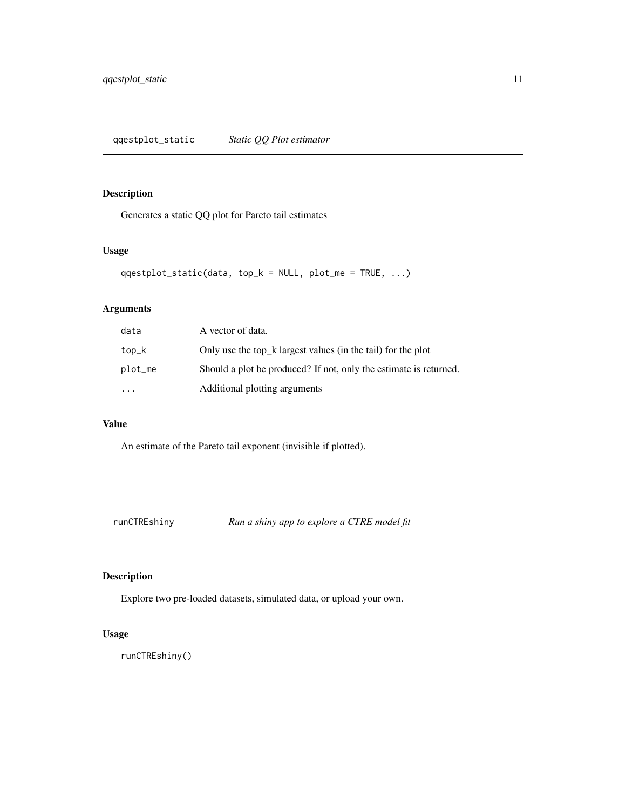<span id="page-10-0"></span>Generates a static QQ plot for Pareto tail estimates

# Usage

```
qqestplot_static(data, top_k = NULL, plot_me = TRUE, ...)
```
# Arguments

| data      | A vector of data.                                                 |
|-----------|-------------------------------------------------------------------|
| top_k     | Only use the top_k largest values (in the tail) for the plot      |
| plot_me   | Should a plot be produced? If not, only the estimate is returned. |
| $\ddotsc$ | Additional plotting arguments                                     |

#### Value

An estimate of the Pareto tail exponent (invisible if plotted).

runCTREshiny *Run a shiny app to explore a CTRE model fit*

# Description

Explore two pre-loaded datasets, simulated data, or upload your own.

# Usage

runCTREshiny()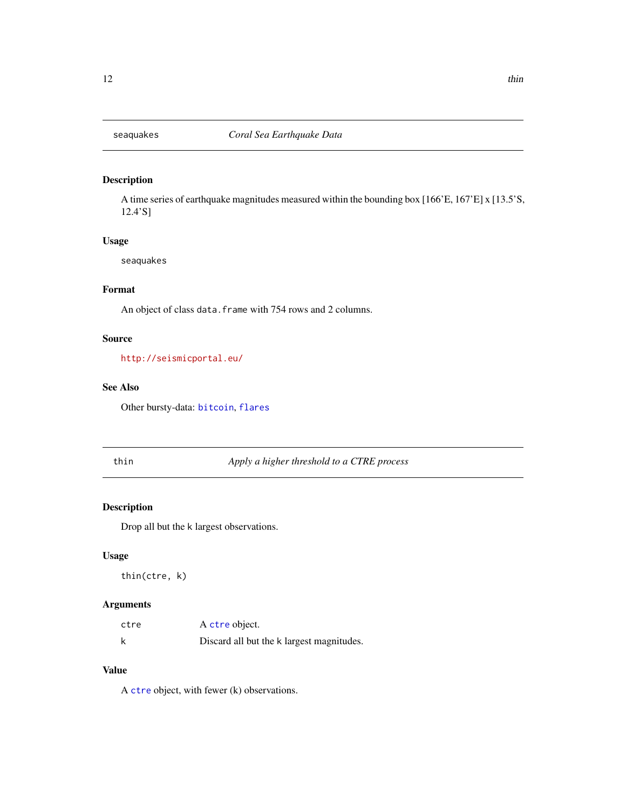<span id="page-11-1"></span><span id="page-11-0"></span>

A time series of earthquake magnitudes measured within the bounding box [166'E, 167'E] x [13.5'S, 12.4'S]

# Usage

seaquakes

# Format

An object of class data. frame with 754 rows and 2 columns.

# Source

<http://seismicportal.eu/>

# See Also

Other bursty-data: [bitcoin](#page-3-2), [flares](#page-5-1)

# thin *Apply a higher threshold to a CTRE process*

# Description

Drop all but the k largest observations.

# Usage

thin(ctre, k)

# Arguments

| ctre | A ctre object.                            |
|------|-------------------------------------------|
| k    | Discard all but the k largest magnitudes. |

# Value

A [ctre](#page-4-1) object, with fewer (k) observations.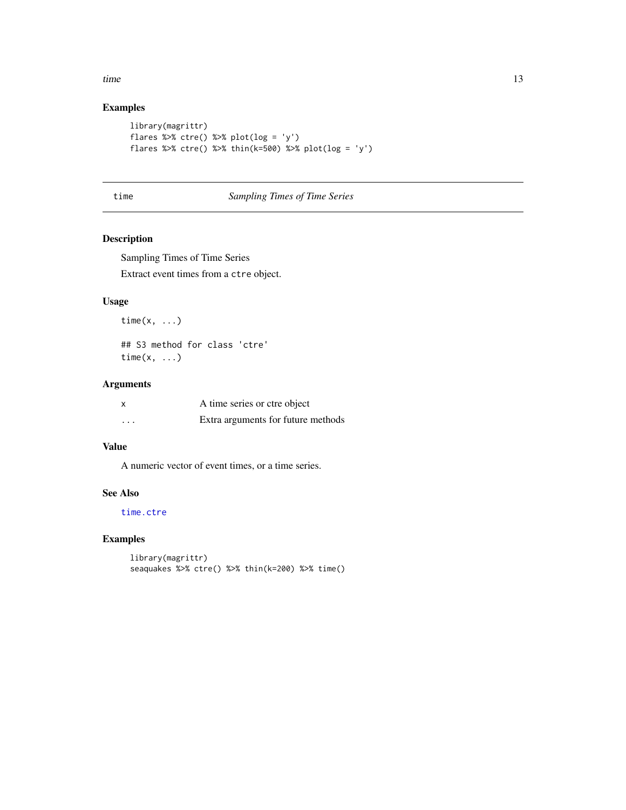<span id="page-12-0"></span>time the state of the state of the state of the state of the state of the state of the state of the state of the state of the state of the state of the state of the state of the state of the state of the state of the state

# Examples

```
library(magrittr)
flares %>% ctre() %>% plot(log = 'y')
flares %>% ctre() %>% thin(k=500) %>% plot(log = 'y')
```
# time *Sampling Times of Time Series*

# <span id="page-12-1"></span>Description

Sampling Times of Time Series Extract event times from a ctre object.

# Usage

time $(x, \ldots)$ 

## S3 method for class 'ctre' time $(x, \ldots)$ 

# Arguments

| X        | A time series or ctre object       |
|----------|------------------------------------|
| $\cdots$ | Extra arguments for future methods |

# Value

A numeric vector of event times, or a time series.

# See Also

[time.ctre](#page-12-1)

```
library(magrittr)
seaquakes %>% ctre() %>% thin(k=200) %>% time()
```